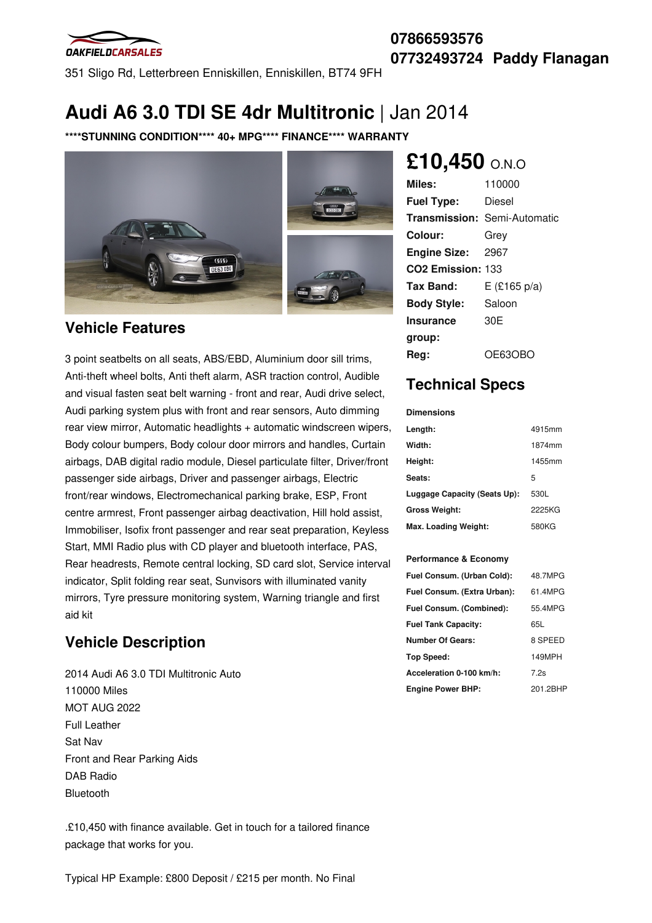

## **07866593576 07732493724 Paddy Flanagan**

351 Sligo Rd, Letterbreen Enniskillen, Enniskillen, BT74 9FH

## **Audi A6 3.0 TDI SE 4dr Multitronic** | Jan 2014

**\*\*\*\*STUNNING CONDITION\*\*\*\* 40+ MPG\*\*\*\* FINANCE\*\*\*\* WARRANTY**



## **Vehicle Features**

3 point seatbelts on all seats, ABS/EBD, Aluminium door sill trims, Anti-theft wheel bolts, Anti theft alarm, ASR traction control, Audible and visual fasten seat belt warning - front and rear, Audi drive select, Audi parking system plus with front and rear sensors, Auto dimming rear view mirror, Automatic headlights + automatic windscreen wipers, Body colour bumpers, Body colour door mirrors and handles, Curtain airbags, DAB digital radio module, Diesel particulate filter, Driver/front passenger side airbags, Driver and passenger airbags, Electric front/rear windows, Electromechanical parking brake, ESP, Front centre armrest, Front passenger airbag deactivation, Hill hold assist, Immobiliser, Isofix front passenger and rear seat preparation, Keyless Start, MMI Radio plus with CD player and bluetooth interface, PAS, Rear headrests, Remote central locking, SD card slot, Service interval indicator, Split folding rear seat, Sunvisors with illuminated vanity mirrors, Tyre pressure monitoring system, Warning triangle and first aid kit

## **Vehicle Description**

2014 Audi A6 3.0 TDI Multitronic Auto 110000 Miles MOT AUG 2022 Full Leather Sat Nav Front and Rear Parking Aids DAB Radio Bluetooth

.£10,450 with finance available. Get in touch for a tailored finance package that works for you.

# **£10,450** O.N.O

| Miles:                        | 110000                              |
|-------------------------------|-------------------------------------|
| <b>Fuel Type:</b>             | Diesel                              |
|                               | <b>Transmission: Semi-Automatic</b> |
| Colour:                       | Grey                                |
| <b>Engine Size:</b>           | 2967                                |
| CO <sub>2</sub> Emission: 133 |                                     |
| Tax Band:                     | $E$ (£165 p/a)                      |
| <b>Body Style:</b>            | Saloon                              |
| Insurance                     | 30 <sub>F</sub>                     |
| group:                        |                                     |
| Rea:                          | OE63OBO                             |

## **Technical Specs**

#### **Dimensions**

| Length:                      | 4915mm |
|------------------------------|--------|
| Width:                       | 1874mm |
| Height:                      | 1455mm |
| Seats:                       | 5      |
| Luggage Capacity (Seats Up): | 530L   |
| <b>Gross Weight:</b>         | 2225KG |
| Max. Loading Weight:         | 580KG  |

### **Performance & Economy**

| Fuel Consum. (Urban Cold):  | 48.7MPG  |
|-----------------------------|----------|
| Fuel Consum. (Extra Urban): | 61.4MPG  |
| Fuel Consum. (Combined):    | 55.4MPG  |
| <b>Fuel Tank Capacity:</b>  | 65L      |
| <b>Number Of Gears:</b>     | 8 SPEED  |
| Top Speed:                  | 149MPH   |
| Acceleration 0-100 km/h:    | 7.2s     |
| <b>Engine Power BHP:</b>    | 201.2BHP |